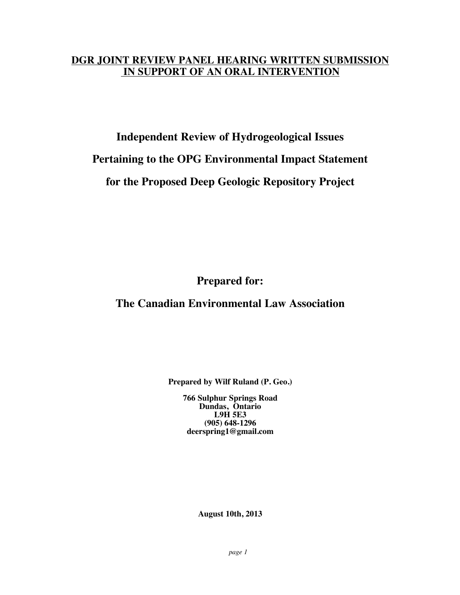#### **DGR JOINT REVIEW PANEL HEARING WRITTEN SUBMISSION IN SUPPORT OF AN ORAL INTERVENTION**

### **Independent Review of Hydrogeological Issues Pertaining to the OPG Environmental Impact Statement for the Proposed Deep Geologic Repository Project**

**Prepared for:** 

#### **The Canadian Environmental Law Association**

**Prepared by Wilf Ruland (P. Geo.)**

**766 Sulphur Springs Road Dundas, Ontario L9H 5E3 (905) 648-1296 deerspring1@gmail.com**

**August 10th, 2013**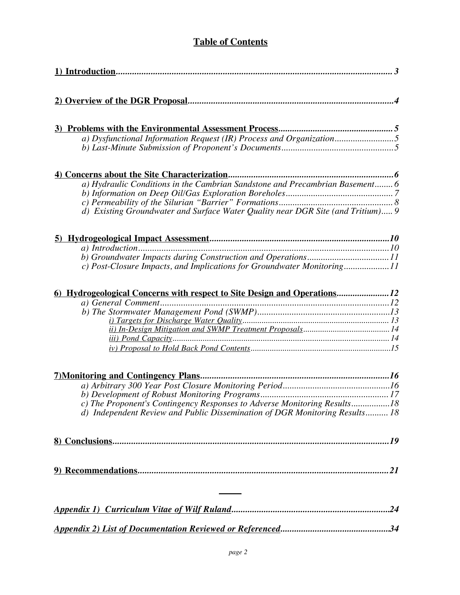#### **Table of Contents**

| a) Dysfunctional Information Request (IR) Process and Organization5             |
|---------------------------------------------------------------------------------|
|                                                                                 |
|                                                                                 |
|                                                                                 |
| a) Hydraulic Conditions in the Cambrian Sandstone and Precambrian Basement 6    |
|                                                                                 |
|                                                                                 |
| d) Existing Groundwater and Surface Water Quality near DGR Site (and Tritium) 9 |
|                                                                                 |
|                                                                                 |
|                                                                                 |
|                                                                                 |
| c) Post-Closure Impacts, and Implications for Groundwater Monitoring11          |
|                                                                                 |
| 6) Hydrogeological Concerns with respect to Site Design and Operations12        |
|                                                                                 |
|                                                                                 |
|                                                                                 |
|                                                                                 |
|                                                                                 |
|                                                                                 |
|                                                                                 |
|                                                                                 |
|                                                                                 |
| c) The Proponent's Contingency Responses to Adverse Monitoring Results18        |
| d) Independent Review and Public Dissemination of DGR Monitoring Results 18     |
|                                                                                 |
|                                                                                 |
|                                                                                 |
|                                                                                 |
|                                                                                 |
|                                                                                 |
|                                                                                 |
|                                                                                 |
|                                                                                 |
|                                                                                 |
|                                                                                 |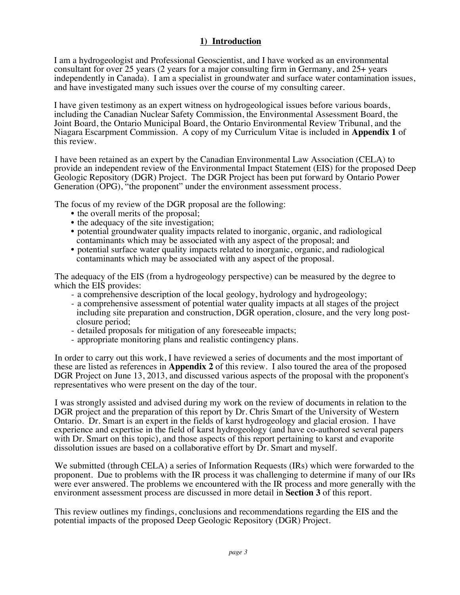#### **1) Introduction**

I am a hydrogeologist and Professional Geoscientist, and I have worked as an environmental consultant for over 25 years (2 years for a major consulting firm in Germany, and 25+ years independently in Canada). I am a specialist in groundwater and surface water contamination issues, and have investigated many such issues over the course of my consulting career.

I have given testimony as an expert witness on hydrogeological issues before various boards, including the Canadian Nuclear Safety Commission, the Environmental Assessment Board, the Joint Board, the Ontario Municipal Board, the Ontario Environmental Review Tribunal, and the Niagara Escarpment Commission. A copy of my Curriculum Vitae is included in **Appendix 1** of this review.

I have been retained as an expert by the Canadian Environmental Law Association (CELA) to provide an independent review of the Environmental Impact Statement (EIS) for the proposed Deep Geologic Repository (DGR) Project. The DGR Project has been put forward by Ontario Power Generation (OPG), "the proponent" under the environment assessment process.

The focus of my review of the DGR proposal are the following:

- the overall merits of the proposal;
- the adequacy of the site investigation;
- potential groundwater quality impacts related to inorganic, organic, and radiological contaminants which may be associated with any aspect of the proposal; and
- potential surface water quality impacts related to inorganic, organic, and radiological contaminants which may be associated with any aspect of the proposal.

The adequacy of the EIS (from a hydrogeology perspective) can be measured by the degree to which the EIS provides:

- a comprehensive description of the local geology, hydrology and hydrogeology;
- a comprehensive assessment of potential water quality impacts at all stages of the project including site preparation and construction, DGR operation, closure, and the very long post-
- closure period; detailed proposals for mitigation of any foreseeable impacts; appropriate monitoring plans and realistic contingency plans.
- 

In order to carry out this work, I have reviewed a series of documents and the most important of these are listed as references in **Appendix 2** of this review. I also toured the area of the proposed DGR Project on June 13, 2013, and discussed various aspects of the proposal with the proponent's representatives who were present on the day of the tour.

I was strongly assisted and advised during my work on the review of documents in relation to the DGR project and the preparation of this report by Dr. Chris Smart of the University of Western Ontario. Dr. Smart is an expert in the fields of karst hydrogeology and glacial erosion. I have experience and expertise in the field of karst hydrogeology (and have co-authored several papers with Dr. Smart on this topic), and those aspects of this report pertaining to karst and evaporite dissolution issues are based on a collaborative effort by Dr. Smart and myself.

We submitted (through CELA) a series of Information Requests (IRs) which were forwarded to the proponent. Due to problems with the IR process it was challenging to determine if many of our IRs were ever answered. The problems we encountered with the IR process and more generally with the environment assessment process are discussed in more detail in **Section 3** of this report.

This review outlines my findings, conclusions and recommendations regarding the EIS and the potential impacts of the proposed Deep Geologic Repository (DGR) Project.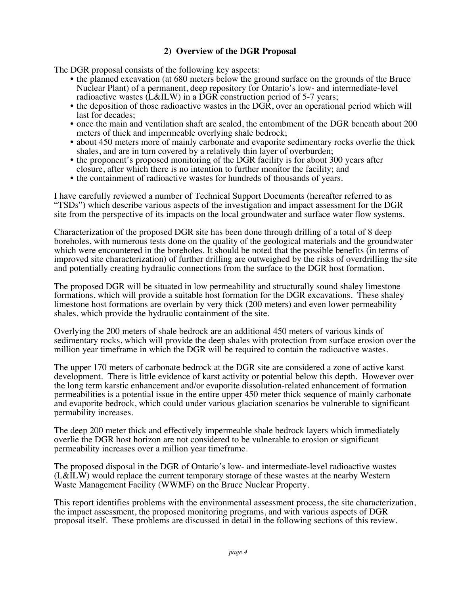#### **2) Overview of the DGR Proposal**

The DGR proposal consists of the following key aspects:

- the planned excavation (at 680 meters below the ground surface on the grounds of the Bruce Nuclear Plant) of a permanent, deep repository for Ontario's low- and intermediate-level radioactive wastes (L&ILW) in a DGR construction period of 5-7 years;
- the deposition of those radioactive wastes in the DGR, over an operational period which will last for decades;
- once the main and ventilation shaft are sealed, the entombment of the DGR beneath about 200 meters of thick and impermeable overlying shale bedrock;
- about 450 meters more of mainly carbonate and evaporite sedimentary rocks overlie the thick shales, and are in turn covered by a relatively thin layer of overburden;
- the proponent's proposed monitoring of the DGR facility is for about 300 years after closure, after which there is no intention to further monitor the facility; and
- the containment of radioactive wastes for hundreds of thousands of years.

I have carefully reviewed a number of Technical Support Documents (hereafter referred to as "TSDs") which describe various aspects of the investigation and impact assessment for the DGR site from the perspective of its impacts on the local groundwater and surface water flow systems.

Characterization of the proposed DGR site has been done through drilling of a total of 8 deep boreholes, with numerous tests done on the quality of the geological materials and the groundwater which were encountered in the boreholes. It should be noted that the possible benefits (in terms of improved site characterization) of further drilling are outweighed by the risks of overdrilling the site and potentially creating hydraulic connections from the surface to the DGR host formation.

The proposed DGR will be situated in low permeability and structurally sound shaley limestone formations, which will provide a suitable host formation for the DGR excavations. These shaley limestone host formations are overlain by very thick (200 meters) and even lower permeability shales, which provide the hydraulic containment of the site.

Overlying the 200 meters of shale bedrock are an additional 450 meters of various kinds of sedimentary rocks, which will provide the deep shales with protection from surface erosion over the million year timeframe in which the DGR will be required to contain the radioactive wastes.

The upper 170 meters of carbonate bedrock at the DGR site are considered a zone of active karst development. There is little evidence of karst activity or potential below this depth. However over the long term karstic enhancement and/or evaporite dissolution-related enhancement of formation permeabilities is a potential issue in the entire upper 450 meter thick sequence of mainly carbonate and evaporite bedrock, which could under various glaciation scenarios be vulnerable to significant permability increases.

The deep 200 meter thick and effectively impermeable shale bedrock layers which immediately overlie the DGR host horizon are not considered to be vulnerable to erosion or significant permeability increases over a million year timeframe.

The proposed disposal in the DGR of Ontario's low- and intermediate-level radioactive wastes (L&ILW) would replace the current temporary storage of these wastes at the nearby Western Waste Management Facility (WWMF) on the Bruce Nuclear Property.

This report identifies problems with the environmental assessment process, the site characterization, the impact assessment, the proposed monitoring programs, and with various aspects of DGR proposal itself. These problems are discussed in detail in the following sections of this review.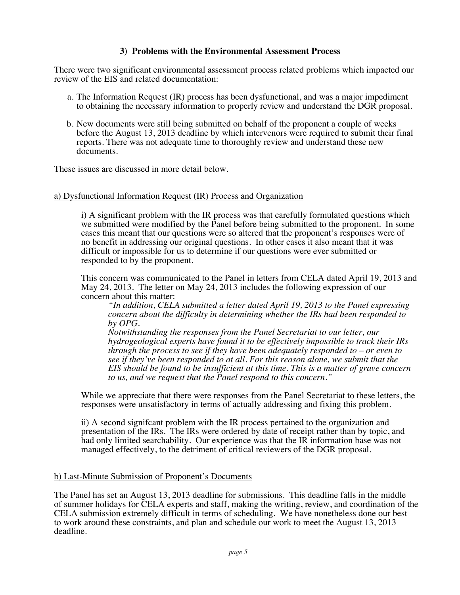#### **3) Problems with the Environmental Assessment Process**

There were two significant environmental assessment process related problems which impacted our review of the EIS and related documentation:

- a. The Information Request (IR) process has been dysfunctional, and was a major impediment to obtaining the necessary information to properly review and understand the DGR proposal.
- b. New documents were still being submitted on behalf of the proponent a couple of weeks before the August 13, 2013 deadline by which intervenors were required to submit their final reports. There was not adequate time to thoroughly review and understand these new documents.

These issues are discussed in more detail below.

#### a) Dysfunctional Information Request (IR) Process and Organization

i) A significant problem with the IR process was that carefully formulated questions which we submitted were modified by the Panel before being submitted to the proponent. In some cases this meant that our questions were so altered that the proponent's responses were of no benefit in addressing our original questions. In other cases it also meant that it was difficult or impossible for us to determine if our questions were ever submitted or responded to by the proponent.

This concern was communicated to the Panel in letters from CELA dated April 19, 2013 and May 24, 2013. The letter on May 24, 2013 includes the following expression of our concern about this matter:

*"In addition, CELA submitted a letter dated April 19, 2013 to the Panel expressing concern about the difficulty in determining whether the IRs had been responded to by OPG.* 

*Notwithstanding the responses from the Panel Secretariat to our letter, our hydrogeological experts have found it to be effectively impossible to track their IRs through the process to see if they have been adequately responded to – or even to see if they've been responded to at all. For this reason alone, we submit that the EIS should be found to be insufficient at this time. This is a matter of grave concern to us, and we request that the Panel respond to this concern."*

While we appreciate that there were responses from the Panel Secretariat to these letters, the responses were unsatisfactory in terms of actually addressing and fixing this problem.

ii) A second signifcant problem with the IR process pertained to the organization and presentation of the IRs. The IRs were ordered by date of receipt rather than by topic, and had only limited searchability. Our experience was that the IR information base was not managed effectively, to the detriment of critical reviewers of the DGR proposal.

#### b) Last-Minute Submission of Proponent's Documents

The Panel has set an August 13, 2013 deadline for submissions. This deadline falls in the middle of summer holidays for CELA experts and staff, making the writing, review, and coordination of the CELA submission extremely difficult in terms of scheduling. We have nonetheless done our best to work around these constraints, and plan and schedule our work to meet the August 13, 2013 deadline.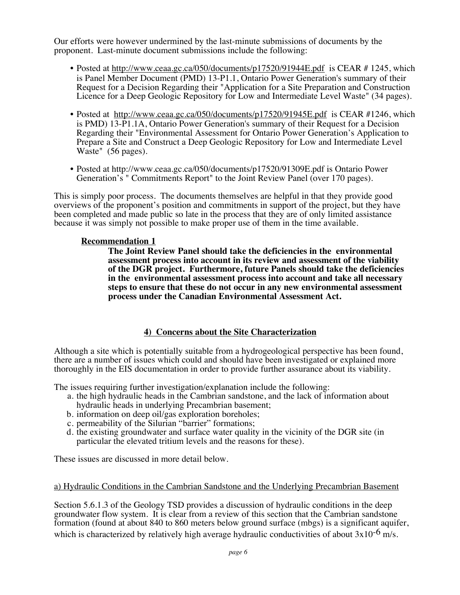Our efforts were however undermined by the last-minute submissions of documents by the proponent. Last-minute document submissions include the following:

- Posted at http://www.ceaa.gc.ca/050/documents/p17520/91944E.pdf is CEAR # 1245, which is Panel Member Document (PMD) 13-P1.1, Ontario Power Generation's summary of their Request for a Decision Regarding their "Application for a Site Preparation and Construction Licence for a Deep Geologic Repository for Low and Intermediate Level Waste" (34 pages).
- Posted at http://www.ceaa.gc.ca/050/documents/p17520/91945E.pdf is CEAR #1246, which is PMD) 13-P1.1A, Ontario Power Generation's summary of their Request for a Decision Regarding their "Environmental Assessment for Ontario Power Generation's Application to Prepare a Site and Construct a Deep Geologic Repository for Low and Intermediate Level Waste" (56 pages).
- Posted at http://www.ceaa.gc.ca/050/documents/p17520/91309E.pdf is Ontario Power Generation's " Commitments Report" to the Joint Review Panel (over 170 pages).

This is simply poor process. The documents themselves are helpful in that they provide good overviews of the proponent's position and commitments in support of the project, but they have been completed and made public so late in the process that they are of only limited assistance because it was simply not possible to make proper use of them in the time available.

#### **Recommendation 1**

**The Joint Review Panel should take the deficiencies in the environmental assessment process into account in its review and assessment of the viability of the DGR project. Furthermore, future Panels should take the deficiencies in the environmental assessment process into account and take all necessary steps to ensure that these do not occur in any new environmental assessment process under the Canadian Environmental Assessment Act.** 

#### **4) Concerns about the Site Characterization**

Although a site which is potentially suitable from a hydrogeological perspective has been found, there are a number of issues which could and should have been investigated or explained more thoroughly in the EIS documentation in order to provide further assurance about its viability.

The issues requiring further investigation/explanation include the following:

- a. the high hydraulic heads in the Cambrian sandstone, and the lack of information about hydraulic heads in underlying Precambrian basement;
- b. information on deep oil/gas exploration boreholes;
- c. permeability of the Silurian "barrier" formations;
- d. the existing groundwater and surface water quality in the vicinity of the DGR site (in particular the elevated tritium levels and the reasons for these).

These issues are discussed in more detail below.

#### a) Hydraulic Conditions in the Cambrian Sandstone and the Underlying Precambrian Basement

Section 5.6.1.3 of the Geology TSD provides a discussion of hydraulic conditions in the deep groundwater flow system. It is clear from a review of this section that the Cambrian sandstone formation (found at about 840 to 860 meters below ground surface (mbgs) is a significant aquifer, which is characterized by relatively high average hydraulic conductivities of about  $3x10^{-6}$  m/s.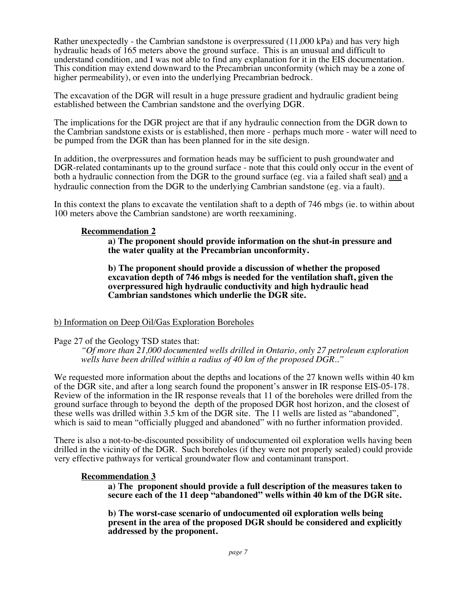Rather unexpectedly - the Cambrian sandstone is overpressured (11,000 kPa) and has very high hydraulic heads of 165 meters above the ground surface. This is an unusual and difficult to understand condition, and I was not able to find any explanation for it in the EIS documentation. This condition may extend downward to the Precambrian unconformity (which may be a zone of higher permeability), or even into the underlying Precambrian bedrock.

The excavation of the DGR will result in a huge pressure gradient and hydraulic gradient being established between the Cambrian sandstone and the overlying DGR.

The implications for the DGR project are that if any hydraulic connection from the DGR down to the Cambrian sandstone exists or is established, then more - perhaps much more - water will need to be pumped from the DGR than has been planned for in the site design.

In addition, the overpressures and formation heads may be sufficient to push groundwater and DGR-related contaminants up to the ground surface - note that this could only occur in the event of both a hydraulic connection from the DGR to the ground surface (eg. via a failed shaft seal) and a hydraulic connection from the DGR to the underlying Cambrian sandstone (eg. via a fault).

In this context the plans to excavate the ventilation shaft to a depth of 746 mbgs (ie. to within about 100 meters above the Cambrian sandstone) are worth reexamining.

#### **Recommendation 2**

**a) The proponent should provide information on the shut-in pressure and the water quality at the Precambrian unconformity.**

**b) The proponent should provide a discussion of whether the proposed excavation depth of 746 mbgs is needed for the ventilation shaft, given the overpressured high hydraulic conductivity and high hydraulic head Cambrian sandstones which underlie the DGR site.**

#### b) Information on Deep Oil/Gas Exploration Boreholes

#### Page 27 of the Geology TSD states that:

*"Of more than 21,000 documented wells drilled in Ontario, only 27 petroleum exploration wells have been drilled within a radius of 40 km of the proposed DGR.."*

We requested more information about the depths and locations of the 27 known wells within 40 km of the DGR site, and after a long search found the proponent's answer in IR response EIS-05-178. Review of the information in the IR response reveals that 11 of the boreholes were drilled from the ground surface through to beyond the depth of the proposed DGR host horizon, and the closest of these wells was drilled within 3.5 km of the DGR site. The 11 wells are listed as "abandoned", which is said to mean "officially plugged and abandoned" with no further information provided.

There is also a not-to-be-discounted possibility of undocumented oil exploration wells having been drilled in the vicinity of the DGR. Such boreholes (if they were not properly sealed) could provide very effective pathways for vertical groundwater flow and contaminant transport.

#### **Recommendation 3**

**a) The proponent should provide a full description of the measures taken to secure each of the 11 deep "abandoned" wells within 40 km of the DGR site.**

**b) The worst-case scenario of undocumented oil exploration wells being present in the area of the proposed DGR should be considered and explicitly addressed by the proponent.**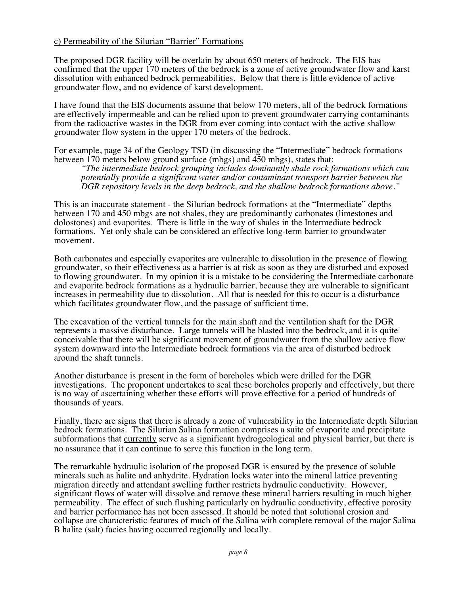#### c) Permeability of the Silurian "Barrier" Formations

The proposed DGR facility will be overlain by about 650 meters of bedrock. The EIS has confirmed that the upper 170 meters of the bedrock is a zone of active groundwater flow and karst dissolution with enhanced bedrock permeabilities. Below that there is little evidence of active groundwater flow, and no evidence of karst development.

I have found that the EIS documents assume that below 170 meters, all of the bedrock formations are effectively impermeable and can be relied upon to prevent groundwater carrying contaminants from the radioactive wastes in the DGR from ever coming into contact with the active shallow groundwater flow system in the upper 170 meters of the bedrock.

For example, page 34 of the Geology TSD (in discussing the "Intermediate" bedrock formations between 170 meters below ground surface (mbgs) and 450 mbgs), states that:

*"The intermediate bedrock grouping includes dominantly shale rock formations which can potentially provide a significant water and/or contaminant transport barrier between the DGR repository levels in the deep bedrock, and the shallow bedrock formations above."*

This is an inaccurate statement - the Silurian bedrock formations at the "Intermediate" depths between 170 and 450 mbgs are not shales, they are predominantly carbonates (limestones and dolostones) and evaporites. There is little in the way of shales in the Intermediate bedrock formations. Yet only shale can be considered an effective long-term barrier to groundwater movement.

Both carbonates and especially evaporites are vulnerable to dissolution in the presence of flowing groundwater, so their effectiveness as a barrier is at risk as soon as they are disturbed and exposed to flowing groundwater. In my opinion it is a mistake to be considering the Intermediate carbonate and evaporite bedrock formations as a hydraulic barrier, because they are vulnerable to significant increases in permeability due to dissolution. All that is needed for this to occur is a disturbance which facilitates groundwater flow, and the passage of sufficient time.

The excavation of the vertical tunnels for the main shaft and the ventilation shaft for the DGR represents a massive disturbance. Large tunnels will be blasted into the bedrock, and it is quite conceivable that there will be significant movement of groundwater from the shallow active flow system downward into the Intermediate bedrock formations via the area of disturbed bedrock around the shaft tunnels.

Another disturbance is present in the form of boreholes which were drilled for the DGR investigations. The proponent undertakes to seal these boreholes properly and effectively, but there is no way of ascertaining whether these efforts will prove effective for a period of hundreds of thousands of years.

Finally, there are signs that there is already a zone of vulnerability in the Intermediate depth Silurian bedrock formations. The Silurian Salina formation comprises a suite of evaporite and precipitate subformations that currently serve as a significant hydrogeological and physical barrier, but there is no assurance that it can continue to serve this function in the long term.

The remarkable hydraulic isolation of the proposed DGR is ensured by the presence of soluble minerals such as halite and anhydrite. Hydration locks water into the mineral lattice preventing migration directly and attendant swelling further restricts hydraulic conductivity. However, significant flows of water will dissolve and remove these mineral barriers resulting in much higher permeability. The effect of such flushing particularly on hydraulic conductivity, effective porosity and barrier performance has not been assessed. It should be noted that solutional erosion and collapse are characteristic features of much of the Salina with complete removal of the major Salina B halite (salt) facies having occurred regionally and locally.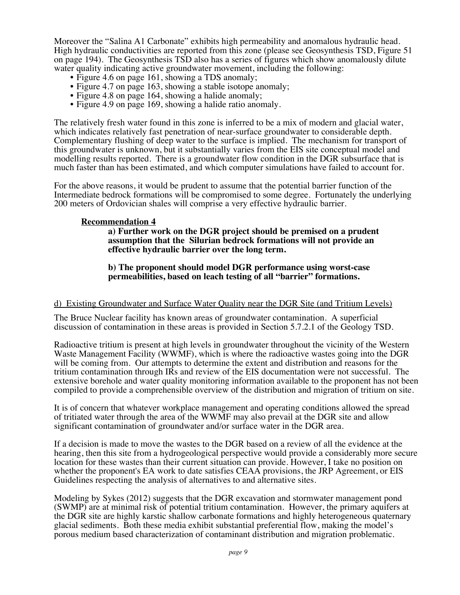Moreover the "Salina A1 Carbonate" exhibits high permeability and anomalous hydraulic head. High hydraulic conductivities are reported from this zone (please see Geosynthesis TSD, Figure 51 on page 194). The Geosynthesis TSD also has a series of figures which show anomalously dilute water quality indicating active groundwater movement, including the following:<br>
• Figure 4.6 on page 161, showing a TDS anomaly;<br>
• Figure 4.7 on page 163, showing a stable isotope anomaly;<br>
• Figure 4.8 on page 164, showi

- 
- 
- 
- 

The relatively fresh water found in this zone is inferred to be a mix of modern and glacial water, which indicates relatively fast penetration of near-surface groundwater to considerable depth. Complementary flushing of deep water to the surface is implied. The mechanism for transport of this groundwater is unknown, but it substantially varies from the EIS site conceptual model and modelling results reported. There is a groundwater flow condition in the DGR subsurface that is much faster than has been estimated, and which computer simulations have failed to account for.

For the above reasons, it would be prudent to assume that the potential barrier function of the Intermediate bedrock formations will be compromised to some degree. Fortunately the underlying 200 meters of Ordovician shales will comprise a very effective hydraulic barrier.

#### **Recommendation 4**

**a) Further work on the DGR project should be premised on a prudent assumption that the Silurian bedrock formations will not provide an effective hydraulic barrier over the long term.** 

#### **b) The proponent should model DGR performance using worst-case permeabilities, based on leach testing of all "barrier" formations.**

#### d) Existing Groundwater and Surface Water Quality near the DGR Site (and Tritium Levels)

The Bruce Nuclear facility has known areas of groundwater contamination. A superficial discussion of contamination in these areas is provided in Section 5.7.2.1 of the Geology TSD.

Radioactive tritium is present at high levels in groundwater throughout the vicinity of the Western Waste Management Facility (WWMF), which is where the radioactive wastes going into the DGR will be coming from. Our attempts to determine the extent and distribution and reasons for the tritium contamination through IRs and review of the EIS documentation were not successful. The extensive borehole and water quality monitoring information available to the proponent has not been compiled to provide a comprehensible overview of the distribution and migration of tritium on site.

It is of concern that whatever workplace management and operating conditions allowed the spread of tritiated water through the area of the WWMF may also prevail at the DGR site and allow significant contamination of groundwater and/or surface water in the DGR area.

If a decision is made to move the wastes to the DGR based on a review of all the evidence at the hearing, then this site from a hydrogeological perspective would provide a considerably more secure location for these wastes than their current situation can provide. However, I take no position on whether the proponent's EA work to date satisfies CEAA provisions, the JRP Agreement, or EIS Guidelines respecting the analysis of alternatives to and alternative sites.

Modeling by Sykes (2012) suggests that the DGR excavation and stormwater management pond (SWMP) are at minimal risk of potential tritium contamination. However, the primary aquifers at the DGR site are highly karstic shallow carbonate formations and highly heterogeneous quaternary glacial sediments. Both these media exhibit substantial preferential flow, making the model's porous medium based characterization of contaminant distribution and migration problematic.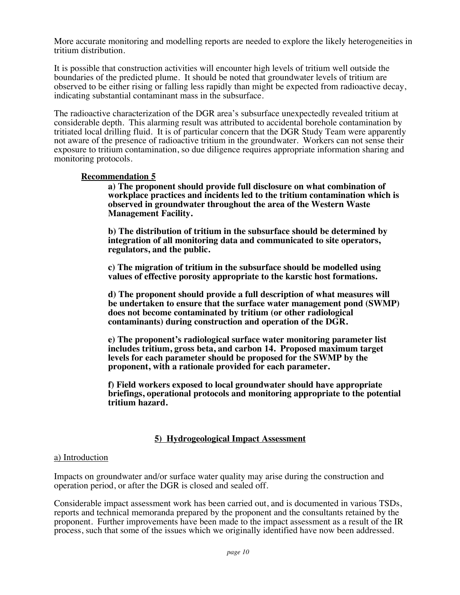More accurate monitoring and modelling reports are needed to explore the likely heterogeneities in tritium distribution.

It is possible that construction activities will encounter high levels of tritium well outside the boundaries of the predicted plume. It should be noted that groundwater levels of tritium are observed to be either rising or falling less rapidly than might be expected from radioactive decay, indicating substantial contaminant mass in the subsurface.

The radioactive characterization of the DGR area's subsurface unexpectedly revealed tritium at considerable depth. This alarming result was attributed to accidental borehole contamination by tritiated local drilling fluid. It is of particular concern that the DGR Study Team were apparently not aware of the presence of radioactive tritium in the groundwater. Workers can not sense their exposure to tritium contamination, so due diligence requires appropriate information sharing and monitoring protocols.

#### **Recommendation 5**

**a) The proponent should provide full disclosure on what combination of workplace practices and incidents led to the tritium contamination which is observed in groundwater throughout the area of the Western Waste Management Facility.** 

**b) The distribution of tritium in the subsurface should be determined by integration of all monitoring data and communicated to site operators, regulators, and the public.**

**c) The migration of tritium in the subsurface should be modelled using values of effective porosity appropriate to the karstic host formations.** 

**d) The proponent should provide a full description of what measures will be undertaken to ensure that the surface water management pond (SWMP) does not become contaminated by tritium (or other radiological contaminants) during construction and operation of the DGR.**

**e) The proponent's radiological surface water monitoring parameter list includes tritium, gross beta, and carbon 14. Proposed maximum target levels for each parameter should be proposed for the SWMP by the proponent, with a rationale provided for each parameter.**

**f) Field workers exposed to local groundwater should have appropriate briefings, operational protocols and monitoring appropriate to the potential tritium hazard.**

#### **5) Hydrogeological Impact Assessment**

#### a) Introduction

Impacts on groundwater and/or surface water quality may arise during the construction and operation period, or after the DGR is closed and sealed off.

Considerable impact assessment work has been carried out, and is documented in various TSDs, reports and technical memoranda prepared by the proponent and the consultants retained by the proponent. Further improvements have been made to the impact assessment as a result of the IR process, such that some of the issues which we originally identified have now been addressed.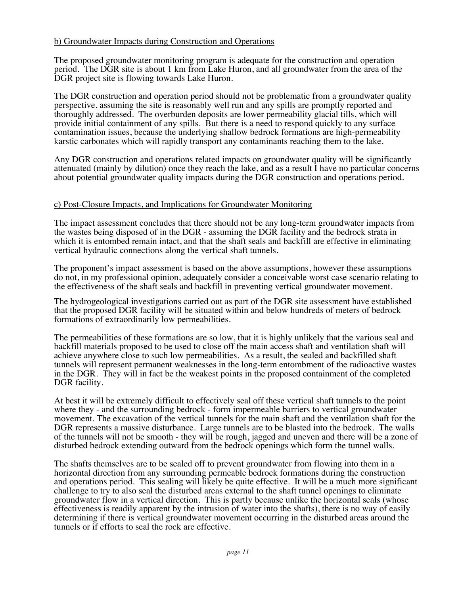#### b) Groundwater Impacts during Construction and Operations

The proposed groundwater monitoring program is adequate for the construction and operation period. The DGR site is about 1 km from Lake Huron, and all groundwater from the area of the DGR project site is flowing towards Lake Huron.

The DGR construction and operation period should not be problematic from a groundwater quality perspective, assuming the site is reasonably well run and any spills are promptly reported and thoroughly addressed. The overburden deposits are lower permeability glacial tills, which will provide initial containment of any spills. But there is a need to respond quickly to any surface contamination issues, because the underlying shallow bedrock formations are high-permeability karstic carbonates which will rapidly transport any contaminants reaching them to the lake.

Any DGR construction and operations related impacts on groundwater quality will be significantly attenuated (mainly by dilution) once they reach the lake, and as a result I have no particular concerns about potential groundwater quality impacts during the DGR construction and operations period.

#### c) Post-Closure Impacts, and Implications for Groundwater Monitoring

The impact assessment concludes that there should not be any long-term groundwater impacts from the wastes being disposed of in the DGR - assuming the DGR facility and the bedrock strata in which it is entombed remain intact, and that the shaft seals and backfill are effective in eliminating vertical hydraulic connections along the vertical shaft tunnels.

The proponent's impact assessment is based on the above assumptions, however these assumptions do not, in my professional opinion, adequately consider a conceivable worst case scenario relating to the effectiveness of the shaft seals and backfill in preventing vertical groundwater movement.

The hydrogeological investigations carried out as part of the DGR site assessment have established that the proposed DGR facility will be situated within and below hundreds of meters of bedrock formations of extraordinarily low permeabilities.

The permeabilities of these formations are so low, that it is highly unlikely that the various seal and backfill materials proposed to be used to close off the main access shaft and ventilation shaft will achieve anywhere close to such low permeabilities. As a result, the sealed and backfilled shaft tunnels will represent permanent weaknesses in the long-term entombment of the radioactive wastes in the DGR. They will in fact be the weakest points in the proposed containment of the completed DGR facility.

At best it will be extremely difficult to effectively seal off these vertical shaft tunnels to the point where they - and the surrounding bedrock - form impermeable barriers to vertical groundwater movement. The excavation of the vertical tunnels for the main shaft and the ventilation shaft for the DGR represents a massive disturbance. Large tunnels are to be blasted into the bedrock. The walls of the tunnels will not be smooth - they will be rough, jagged and uneven and there will be a zone of disturbed bedrock extending outward from the bedrock openings which form the tunnel walls.

The shafts themselves are to be sealed off to prevent groundwater from flowing into them in a horizontal direction from any surrounding permeable bedrock formations during the construction and operations period. This sealing will likely be quite effective. It will be a much more significant challenge to try to also seal the disturbed areas external to the shaft tunnel openings to eliminate groundwater flow in a vertical direction. This is partly because unlike the horizontal seals (whose effectiveness is readily apparent by the intrusion of water into the shafts), there is no way of easily determining if there is vertical groundwater movement occurring in the disturbed areas around the tunnels or if efforts to seal the rock are effective.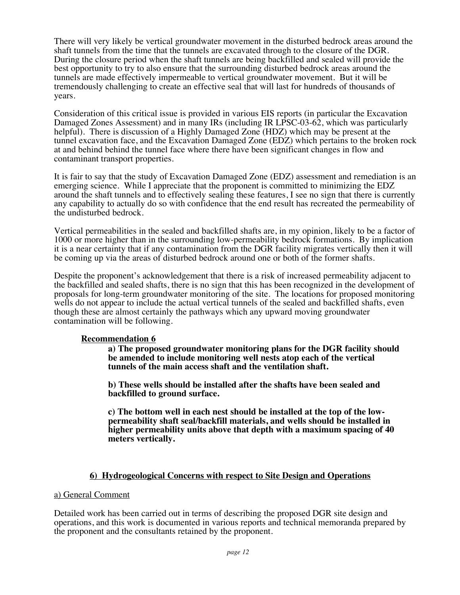There will very likely be vertical groundwater movement in the disturbed bedrock areas around the shaft tunnels from the time that the tunnels are excavated through to the closure of the DGR. During the closure period when the shaft tunnels are being backfilled and sealed will provide the best opportunity to try to also ensure that the surrounding disturbed bedrock areas around the tunnels are made effectively impermeable to vertical groundwater movement. But it will be tremendously challenging to create an effective seal that will last for hundreds of thousands of years.

Consideration of this critical issue is provided in various EIS reports (in particular the Excavation Damaged Zones Assessment) and in many IRs (including IR LPSC-03-62, which was particularly helpful). There is discussion of a Highly Damaged Zone (HDZ) which may be present at the tunnel excavation face, and the Excavation Damaged Zone (EDZ) which pertains to the broken rock at and behind behind the tunnel face where there have been significant changes in flow and contaminant transport properties.

It is fair to say that the study of Excavation Damaged Zone (EDZ) assessment and remediation is an emerging science. While I appreciate that the proponent is committed to minimizing the EDZ around the shaft tunnels and to effectively sealing these features, I see no sign that there is currently any capability to actually do so with confidence that the end result has recreated the permeability of the undisturbed bedrock.

Vertical permeabilities in the sealed and backfilled shafts are, in my opinion, likely to be a factor of 1000 or more higher than in the surrounding low-permeability bedrock formations. By implication it is a near certainty that if any contamination from the DGR facility migrates vertically then it will be coming up via the areas of disturbed bedrock around one or both of the former shafts.

Despite the proponent's acknowledgement that there is a risk of increased permeability adjacent to the backfilled and sealed shafts, there is no sign that this has been recognized in the development of proposals for long-term groundwater monitoring of the site. The locations for proposed monitoring wells do not appear to include the actual vertical tunnels of the sealed and backfilled shafts, even though these are almost certainly the pathways which any upward moving groundwater contamination will be following.

#### **Recommendation 6**

**a) The proposed groundwater monitoring plans for the DGR facility should be amended to include monitoring well nests atop each of the vertical tunnels of the main access shaft and the ventilation shaft.** 

**b) These wells should be installed after the shafts have been sealed and backfilled to ground surface.** 

**c) The bottom well in each nest should be installed at the top of the lowpermeability shaft seal/backfill materials, and wells should be installed in higher permeability units above that depth with a maximum spacing of 40 meters vertically.** 

#### **6) Hydrogeological Concerns with respect to Site Design and Operations**

#### a) General Comment

Detailed work has been carried out in terms of describing the proposed DGR site design and operations, and this work is documented in various reports and technical memoranda prepared by the proponent and the consultants retained by the proponent.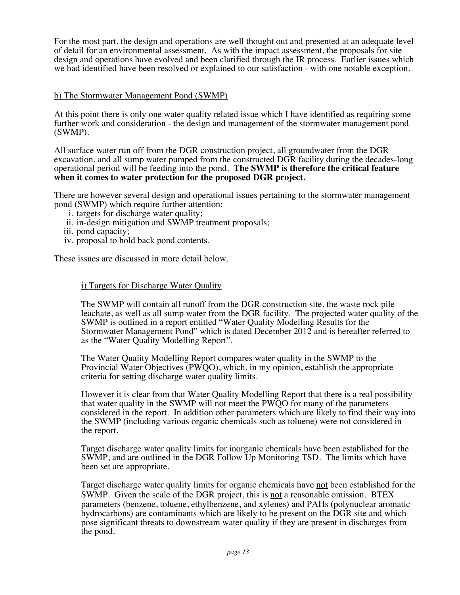For the most part, the design and operations are well thought out and presented at an adequate level of detail for an environmental assessment. As with the impact assessment, the proposals for site design and operations have evolved and been clarified through the IR process. Earlier issues which we had identified have been resolved or explained to our satisfaction - with one notable exception.

#### b) The Stormwater Management Pond (SWMP)

At this point there is only one water quality related issue which I have identified as requiring some further work and consideration - the design and management of the stormwater management pond (SWMP).

All surface water run off from the DGR construction project, all groundwater from the DGR excavation, and all sump water pumped from the constructed DGR facility during the decades-long operational period will be feeding into the pond. **The SWMP is therefore the critical feature when it comes to water protection for the proposed DGR project.** 

There are however several design and operational issues pertaining to the stormwater management pond (SWMP) which require further attention:

- i. targets for discharge water quality;
- ii. in-design mitigation and SWMP treatment proposals;
- iii. pond capacity;
- iv. proposal to hold back pond contents.

These issues are discussed in more detail below.

#### i) Targets for Discharge Water Quality

The SWMP will contain all runoff from the DGR construction site, the waste rock pile leachate, as well as all sump water from the DGR facility. The projected water quality of the SWMP is outlined in a report entitled "Water Quality Modelling Results for the Stormwater Management Pond" which is dated December 2012 and is hereafter referred to as the "Water Quality Modelling Report".

The Water Quality Modelling Report compares water quality in the SWMP to the Provincial Water Objectives (PWQO), which, in my opinion, establish the appropriate criteria for setting discharge water quality limits.

However it is clear from that Water Quality Modelling Report that there is a real possibility that water quality in the SWMP will not meet the PWQO for many of the parameters considered in the report. In addition other parameters which are likely to find their way into the SWMP (including various organic chemicals such as toluene) were not considered in the report.

Target discharge water quality limits for inorganic chemicals have been established for the SWMP, and are outlined in the DGR Follow Up Monitoring TSD. The limits which have been set are appropriate.

Target discharge water quality limits for organic chemicals have not been established for the SWMP. Given the scale of the DGR project, this is not a reasonable omission. BTEX parameters (benzene, toluene, ethylbenzene, and xylenes) and PAHs (polynuclear aromatic hydrocarbons) are contaminants which are likely to be present on the DGR site and which pose significant threats to downstream water quality if they are present in discharges from the pond.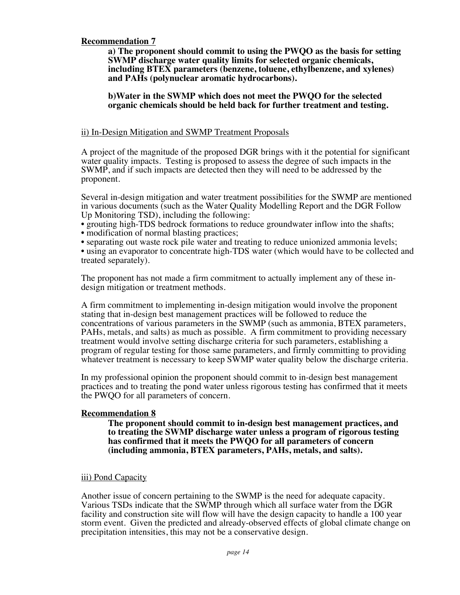#### **Recommendation 7**

**a) The proponent should commit to using the PWQO as the basis for setting SWMP discharge water quality limits for selected organic chemicals, including BTEX parameters (benzene, toluene, ethylbenzene, and xylenes) and PAHs (polynuclear aromatic hydrocarbons).** 

#### **b)Water in the SWMP which does not meet the PWQO for the selected organic chemicals should be held back for further treatment and testing.**

#### ii) In-Design Mitigation and SWMP Treatment Proposals

A project of the magnitude of the proposed DGR brings with it the potential for significant water quality impacts. Testing is proposed to assess the degree of such impacts in the SWMP, and if such impacts are detected then they will need to be addressed by the proponent.

Several in-design mitigation and water treatment possibilities for the SWMP are mentioned in various documents (such as the Water Quality Modelling Report and the DGR Follow Up Monitoring TSD), including the following:

• grouting high-TDS bedrock formations to reduce groundwater inflow into the shafts;

• modification of normal blasting practices;

• separating out waste rock pile water and treating to reduce unionized ammonia levels;

• using an evaporator to concentrate high-TDS water (which would have to be collected and treated separately).

The proponent has not made a firm commitment to actually implement any of these indesign mitigation or treatment methods.

A firm commitment to implementing in-design mitigation would involve the proponent stating that in-design best management practices will be followed to reduce the concentrations of various parameters in the SWMP (such as ammonia, BTEX parameters, PAHs, metals, and salts) as much as possible. A firm commitment to providing necessary treatment would involve setting discharge criteria for such parameters, establishing a program of regular testing for those same parameters, and firmly committing to providing whatever treatment is necessary to keep SWMP water quality below the discharge criteria.

In my professional opinion the proponent should commit to in-design best management practices and to treating the pond water unless rigorous testing has confirmed that it meets the PWQO for all parameters of concern.

#### **Recommendation 8**

**The proponent should commit to in-design best management practices, and to treating the SWMP discharge water unless a program of rigorous testing has confirmed that it meets the PWQO for all parameters of concern (including ammonia, BTEX parameters, PAHs, metals, and salts).** 

#### iii) Pond Capacity

Another issue of concern pertaining to the SWMP is the need for adequate capacity. Various TSDs indicate that the SWMP through which all surface water from the DGR facility and construction site will flow will have the design capacity to handle a 100 year storm event. Given the predicted and already-observed effects of global climate change on precipitation intensities, this may not be a conservative design.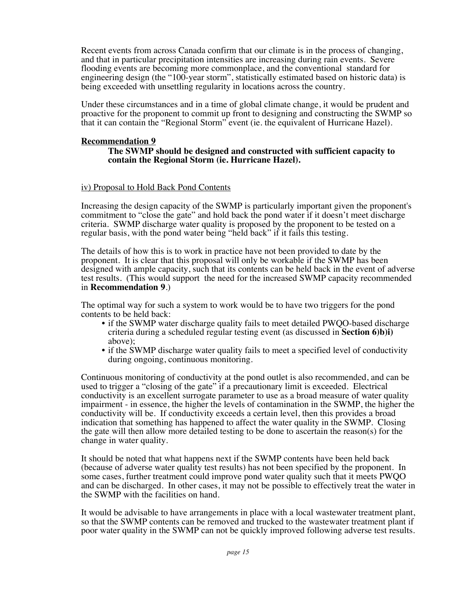Recent events from across Canada confirm that our climate is in the process of changing, and that in particular precipitation intensities are increasing during rain events. Severe flooding events are becoming more commonplace, and the conventional standard for engineering design (the "100-year storm", statistically estimated based on historic data) is being exceeded with unsettling regularity in locations across the country.

Under these circumstances and in a time of global climate change, it would be prudent and proactive for the proponent to commit up front to designing and constructing the SWMP so that it can contain the "Regional Storm" event (ie. the equivalent of Hurricane Hazel).

#### **Recommendation 9**

#### **The SWMP should be designed and constructed with sufficient capacity to contain the Regional Storm (ie. Hurricane Hazel).**

#### iv) Proposal to Hold Back Pond Contents

Increasing the design capacity of the SWMP is particularly important given the proponent's commitment to "close the gate" and hold back the pond water if it doesn't meet discharge criteria. SWMP discharge water quality is proposed by the proponent to be tested on a regular basis, with the pond water being "held back" if it fails this testing.

The details of how this is to work in practice have not been provided to date by the proponent. It is clear that this proposal will only be workable if the SWMP has been designed with ample capacity, such that its contents can be held back in the event of adverse test results. (This would support the need for the increased SWMP capacity recommended in **Recommendation 9**.)

The optimal way for such a system to work would be to have two triggers for the pond contents to be held back:

- if the SWMP water discharge quality fails to meet detailed PWQO-based discharge criteria during a scheduled regular testing event (as discussed in **Section 6)b)i)** above);
- if the SWMP discharge water quality fails to meet a specified level of conductivity during ongoing, continuous monitoring.

Continuous monitoring of conductivity at the pond outlet is also recommended, and can be used to trigger a "closing of the gate" if a precautionary limit is exceeded. Electrical conductivity is an excellent surrogate parameter to use as a broad measure of water quality impairment - in essence, the higher the levels of contamination in the SWMP, the higher the conductivity will be. If conductivity exceeds a certain level, then this provides a broad indication that something has happened to affect the water quality in the SWMP. Closing the gate will then allow more detailed testing to be done to ascertain the reason(s) for the change in water quality.

It should be noted that what happens next if the SWMP contents have been held back (because of adverse water quality test results) has not been specified by the proponent. In some cases, further treatment could improve pond water quality such that it meets PWQO and can be discharged. In other cases, it may not be possible to effectively treat the water in the SWMP with the facilities on hand.

It would be advisable to have arrangements in place with a local wastewater treatment plant, so that the SWMP contents can be removed and trucked to the wastewater treatment plant if poor water quality in the SWMP can not be quickly improved following adverse test results.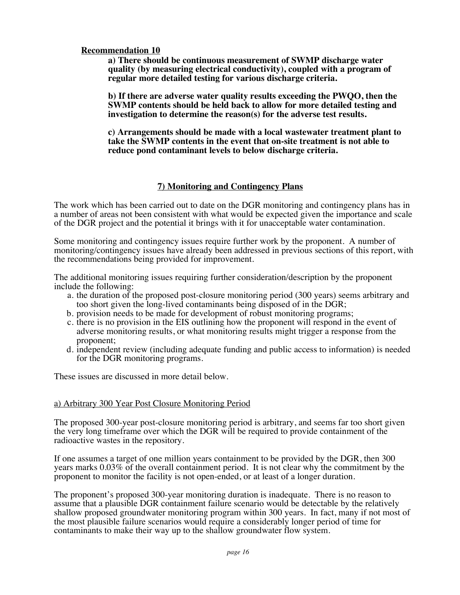#### **Recommendation 10**

**a) There should be continuous measurement of SWMP discharge water quality (by measuring electrical conductivity), coupled with a program of regular more detailed testing for various discharge criteria.** 

**b) If there are adverse water quality results exceeding the PWQO, then the SWMP contents should be held back to allow for more detailed testing and investigation to determine the reason(s) for the adverse test results.** 

**c) Arrangements should be made with a local wastewater treatment plant to take the SWMP contents in the event that on-site treatment is not able to reduce pond contaminant levels to below discharge criteria.**

#### **7) Monitoring and Contingency Plans**

The work which has been carried out to date on the DGR monitoring and contingency plans has in a number of areas not been consistent with what would be expected given the importance and scale of the DGR project and the potential it brings with it for unacceptable water contamination.

Some monitoring and contingency issues require further work by the proponent. A number of monitoring/contingency issues have already been addressed in previous sections of this report, with the recommendations being provided for improvement.

The additional monitoring issues requiring further consideration/description by the proponent include the following:

- a. the duration of the proposed post-closure monitoring period (300 years) seems arbitrary and too short given the long-lived contaminants being disposed of in the DGR;
- b. provision needs to be made for development of robust monitoring programs;
- c. there is no provision in the EIS outlining how the proponent will respond in the event of adverse monitoring results, or what monitoring results might trigger a response from the proponent;
- d. independent review (including adequate funding and public access to information) is needed for the DGR monitoring programs.

These issues are discussed in more detail below.

#### a) Arbitrary 300 Year Post Closure Monitoring Period

The proposed 300-year post-closure monitoring period is arbitrary, and seems far too short given the very long timeframe over which the DGR will be required to provide containment of the radioactive wastes in the repository.

If one assumes a target of one million years containment to be provided by the DGR, then 300 years marks 0.03% of the overall containment period. It is not clear why the commitment by the proponent to monitor the facility is not open-ended, or at least of a longer duration.

The proponent's proposed 300-year monitoring duration is inadequate. There is no reason to assume that a plausible DGR containment failure scenario would be detectable by the relatively shallow proposed groundwater monitoring program within 300 years. In fact, many if not most of the most plausible failure scenarios would require a considerably longer period of time for contaminants to make their way up to the shallow groundwater flow system.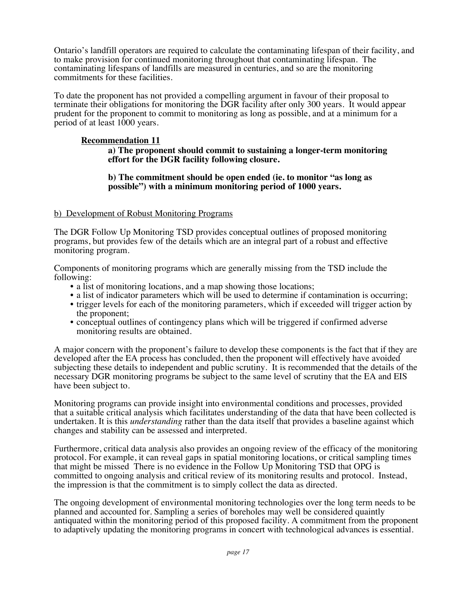Ontario's landfill operators are required to calculate the contaminating lifespan of their facility, and to make provision for continued monitoring throughout that contaminating lifespan. The contaminating lifespans of landfills are measured in centuries, and so are the monitoring commitments for these facilities.

To date the proponent has not provided a compelling argument in favour of their proposal to terminate their obligations for monitoring the DGR facility after only 300 years. It would appear prudent for the proponent to commit to monitoring as long as possible, and at a minimum for a period of at least 1000 years.

#### **Recommendation 11**

#### **a) The proponent should commit to sustaining a longer-term monitoring effort for the DGR facility following closure.**

#### **b) The commitment should be open ended (ie. to monitor "as long as possible") with a minimum monitoring period of 1000 years.**

#### b) Development of Robust Monitoring Programs

The DGR Follow Up Monitoring TSD provides conceptual outlines of proposed monitoring programs, but provides few of the details which are an integral part of a robust and effective monitoring program.

Components of monitoring programs which are generally missing from the TSD include the

- 
- 
- a list of monitoring locations, and a map showing those locations;<br>• a list of indicator parameters which will be used to determine if contamination is occurring;<br>• trigger levels for each of the monitoring parameters, w
- conceptual outlines of contingency plans which will be triggered if confirmed adverse monitoring results are obtained.

A major concern with the proponent's failure to develop these components is the fact that if they are developed after the EA process has concluded, then the proponent will effectively have avoided subjecting these details to independent and public scrutiny. It is recommended that the details of the necessary DGR monitoring programs be subject to the same level of scrutiny that the EA and EIS have been subject to.

Monitoring programs can provide insight into environmental conditions and processes, provided that a suitable critical analysis which facilitates understanding of the data that have been collected is undertaken. It is this *understanding* rather than the data itself that provides a baseline against which changes and stability can be assessed and interpreted.

Furthermore, critical data analysis also provides an ongoing review of the efficacy of the monitoring protocol. For example, it can reveal gaps in spatial monitoring locations, or critical sampling times that might be missed There is no evidence in the Follow Up Monitoring TSD that OPG is committed to ongoing analysis and critical review of its monitoring results and protocol. Instead, the impression is that the commitment is to simply collect the data as directed.

The ongoing development of environmental monitoring technologies over the long term needs to be planned and accounted for. Sampling a series of boreholes may well be considered quaintly antiquated within the monitoring period of this proposed facility. A commitment from the proponent to adaptively updating the monitoring programs in concert with technological advances is essential.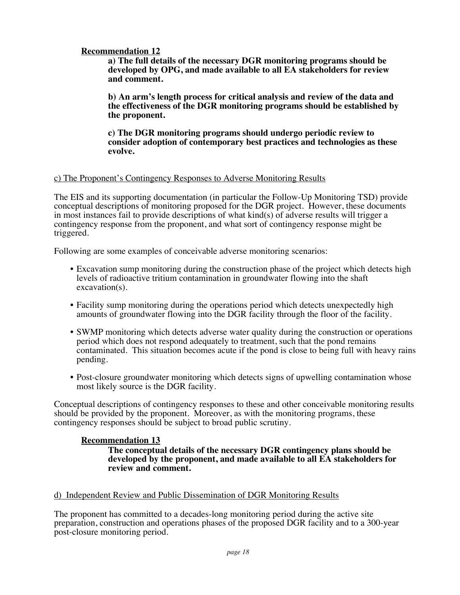#### **Recommendation 12**

**a) The full details of the necessary DGR monitoring programs should be developed by OPG, and made available to all EA stakeholders for review and comment.** 

**b) An arm's length process for critical analysis and review of the data and the effectiveness of the DGR monitoring programs should be established by the proponent.**

**c) The DGR monitoring programs should undergo periodic review to consider adoption of contemporary best practices and technologies as these evolve.**

#### c) The Proponent's Contingency Responses to Adverse Monitoring Results

The EIS and its supporting documentation (in particular the Follow-Up Monitoring TSD) provide conceptual descriptions of monitoring proposed for the DGR project. However, these documents in most instances fail to provide descriptions of what kind(s) of adverse results will trigger a contingency response from the proponent, and what sort of contingency response might be triggered.

Following are some examples of conceivable adverse monitoring scenarios:

- Excavation sump monitoring during the construction phase of the project which detects high levels of radioactive tritium contamination in groundwater flowing into the shaft excavation(s).
- Facility sump monitoring during the operations period which detects unexpectedly high amounts of groundwater flowing into the DGR facility through the floor of the facility.
- SWMP monitoring which detects adverse water quality during the construction or operations period which does not respond adequately to treatment, such that the pond remains contaminated. This situation becomes acute if the pond is close to being full with heavy rains pending.
- Post-closure groundwater monitoring which detects signs of upwelling contamination whose most likely source is the DGR facility.

Conceptual descriptions of contingency responses to these and other conceivable monitoring results should be provided by the proponent. Moreover, as with the monitoring programs, these contingency responses should be subject to broad public scrutiny.

#### **Recommendation 13**

**The conceptual details of the necessary DGR contingency plans should be developed by the proponent, and made available to all EA stakeholders for review and comment.**

#### d) Independent Review and Public Dissemination of DGR Monitoring Results

The proponent has committed to a decades-long monitoring period during the active site preparation, construction and operations phases of the proposed DGR facility and to a 300-year post-closure monitoring period.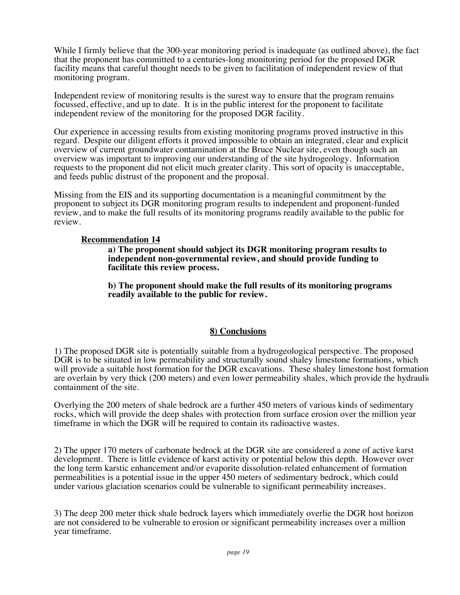While I firmly believe that the 300-year monitoring period is inadequate (as outlined above), the fact that the proponent has committed to a centuries-long monitoring period for the proposed DGR facility means that careful thought needs to be given to facilitation of independent review of that monitoring program.

Independent review of monitoring results is the surest way to ensure that the program remains focussed, effective, and up to date. It is in the public interest for the proponent to facilitate independent review of the monitoring for the proposed DGR facility.

Our experience in accessing results from existing monitoring programs proved instructive in this regard. Despite our diligent efforts it proved impossible to obtain an integrated, clear and explicit overview of current groundwater contamination at the Bruce Nuclear site, even though such an overview was important to improving our understanding of the site hydrogeology. Information requests to the proponent did not elicit much greater clarity. This sort of opacity is unacceptable, and feeds public distrust of the proponent and the proposal.

Missing from the EIS and its supporting documentation is a meaningful commitment by the proponent to subject its DGR monitoring program results to independent and proponent-funded review, and to make the full results of its monitoring programs readily available to the public for review.

#### **Recommendation 14**

**a) The proponent should subject its DGR monitoring program results to independent non-governmental review, and should provide funding to facilitate this review process.**

**b) The proponent should make the full results of its monitoring programs readily available to the public for review.**

#### **8) Conclusions**

1) The proposed DGR site is potentially suitable from a hydrogeological perspective. The proposed DGR is to be situated in low permeability and structurally sound shaley limestone formations, which will provide a suitable host formation for the DGR excavations. These shaley limestone host formation are overlain by very thick (200 meters) and even lower permeability shales, which provide the hydraulic containment of the site.

Overlying the 200 meters of shale bedrock are a further 450 meters of various kinds of sedimentary rocks, which will provide the deep shales with protection from surface erosion over the million year timeframe in which the DGR will be required to contain its radioactive wastes.

2) The upper 170 meters of carbonate bedrock at the DGR site are considered a zone of active karst development. There is little evidence of karst activity or potential below this depth. However over the long term karstic enhancement and/or evaporite dissolution-related enhancement of formation permeabilities is a potential issue in the upper 450 meters of sedimentary bedrock, which could under various glaciation scenarios could be vulnerable to significant permeability increases.

3) The deep 200 meter thick shale bedrock layers which immediately overlie the DGR host horizon are not considered to be vulnerable to erosion or significant permeability increases over a million year timeframe.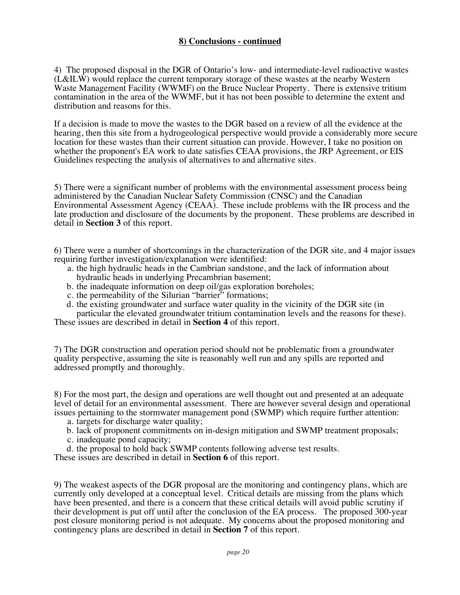#### **8) Conclusions - continued**

4) The proposed disposal in the DGR of Ontario's low- and intermediate-level radioactive wastes (L&ILW) would replace the current temporary storage of these wastes at the nearby Western Waste Management Facility (WWMF) on the Bruce Nuclear Property. There is extensive tritium contamination in the area of the WWMF, but it has not been possible to determine the extent and distribution and reasons for this.

If a decision is made to move the wastes to the DGR based on a review of all the evidence at the hearing, then this site from a hydrogeological perspective would provide a considerably more secure location for these wastes than their current situation can provide. However, I take no position on whether the proponent's EA work to date satisfies CEAA provisions, the JRP Agreement, or EIS Guidelines respecting the analysis of alternatives to and alternative sites.

5) There were a significant number of problems with the environmental assessment process being administered by the Canadian Nuclear Safety Commission (CNSC) and the Canadian Environmental Assessment Agency (CEAA). These include problems with the IR process and the late production and disclosure of the documents by the proponent. These problems are described in detail in **Section 3** of this report.

6) There were a number of shortcomings in the characterization of the DGR site, and 4 major issues requiring further investigation/explanation were identified:

- a. the high hydraulic heads in the Cambrian sandstone, and the lack of information about hydraulic heads in underlying Precambrian basement;
- b. the inadequate information on deep oil/gas exploration boreholes;
- c. the permeability of the Silurian "barrier" formations;
- d. the existing groundwater and surface water quality in the vicinity of the DGR site (in particular the elevated groundwater tritium contamination levels and the reasons for these).

These issues are described in detail in **Section 4** of this report.

7) The DGR construction and operation period should not be problematic from a groundwater quality perspective, assuming the site is reasonably well run and any spills are reported and addressed promptly and thoroughly.

8) For the most part, the design and operations are well thought out and presented at an adequate level of detail for an environmental assessment. There are however several design and operational issues pertaining to the stormwater management pond (SWMP) which require further attention:

- a. targets for discharge water quality;
- b. lack of proponent commitments on in-design mitigation and SWMP treatment proposals;
- c. inadequate pond capacity;
- d. the proposal to hold back SWMP contents following adverse test results.

These issues are described in detail in **Section 6** of this report.

9) The weakest aspects of the DGR proposal are the monitoring and contingency plans, which are currently only developed at a conceptual level. Critical details are missing from the plans which have been presented, and there is a concern that these critical details will avoid public scrutiny if their development is put off until after the conclusion of the EA process. The proposed 300-year post closure monitoring period is not adequate. My concerns about the proposed monitoring and contingency plans are described in detail in **Section 7** of this report.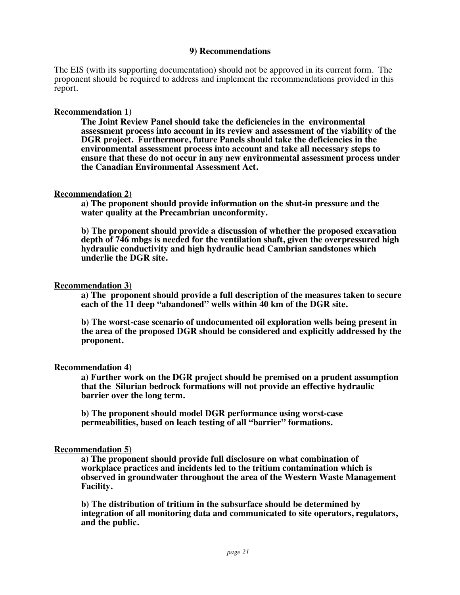#### **9) Recommendations**

The EIS (with its supporting documentation) should not be approved in its current form. The proponent should be required to address and implement the recommendations provided in this report.

#### **Recommendation 1)**

**The Joint Review Panel should take the deficiencies in the environmental assessment process into account in its review and assessment of the viability of the DGR project. Furthermore, future Panels should take the deficiencies in the environmental assessment process into account and take all necessary steps to ensure that these do not occur in any new environmental assessment process under the Canadian Environmental Assessment Act.** 

#### **Recommendation 2)**

**a) The proponent should provide information on the shut-in pressure and the water quality at the Precambrian unconformity.**

**b) The proponent should provide a discussion of whether the proposed excavation depth of 746 mbgs is needed for the ventilation shaft, given the overpressured high hydraulic conductivity and high hydraulic head Cambrian sandstones which underlie the DGR site.**

#### **Recommendation 3)**

**a) The proponent should provide a full description of the measures taken to secure each of the 11 deep "abandoned" wells within 40 km of the DGR site.**

**b) The worst-case scenario of undocumented oil exploration wells being present in the area of the proposed DGR should be considered and explicitly addressed by the proponent.** 

#### **Recommendation 4)**

**a) Further work on the DGR project should be premised on a prudent assumption that the Silurian bedrock formations will not provide an effective hydraulic barrier over the long term.** 

**b) The proponent should model DGR performance using worst-case permeabilities, based on leach testing of all "barrier" formations.**

#### **Recommendation 5)**

**a) The proponent should provide full disclosure on what combination of workplace practices and incidents led to the tritium contamination which is observed in groundwater throughout the area of the Western Waste Management Facility.** 

**b) The distribution of tritium in the subsurface should be determined by integration of all monitoring data and communicated to site operators, regulators, and the public.**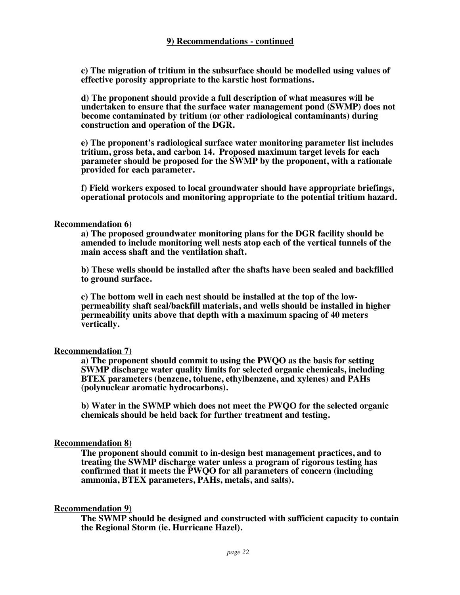**c) The migration of tritium in the subsurface should be modelled using values of effective porosity appropriate to the karstic host formations.**

**d) The proponent should provide a full description of what measures will be undertaken to ensure that the surface water management pond (SWMP) does not become contaminated by tritium (or other radiological contaminants) during construction and operation of the DGR.**

**e) The proponent's radiological surface water monitoring parameter list includes tritium, gross beta, and carbon 14. Proposed maximum target levels for each parameter should be proposed for the SWMP by the proponent, with a rationale provided for each parameter.**

**f) Field workers exposed to local groundwater should have appropriate briefings, operational protocols and monitoring appropriate to the potential tritium hazard.**

#### **Recommendation 6)**

**a) The proposed groundwater monitoring plans for the DGR facility should be amended to include monitoring well nests atop each of the vertical tunnels of the main access shaft and the ventilation shaft.** 

**b) These wells should be installed after the shafts have been sealed and backfilled to ground surface.** 

**c) The bottom well in each nest should be installed at the top of the lowpermeability shaft seal/backfill materials, and wells should be installed in higher permeability units above that depth with a maximum spacing of 40 meters vertically.** 

#### **Recommendation 7)**

**a) The proponent should commit to using the PWQO as the basis for setting SWMP discharge water quality limits for selected organic chemicals, including BTEX parameters (benzene, toluene, ethylbenzene, and xylenes) and PAHs (polynuclear aromatic hydrocarbons).** 

**b) Water in the SWMP which does not meet the PWQO for the selected organic chemicals should be held back for further treatment and testing.**

#### **Recommendation 8)**

**The proponent should commit to in-design best management practices, and to treating the SWMP discharge water unless a program of rigorous testing has confirmed that it meets the PWQO for all parameters of concern (including ammonia, BTEX parameters, PAHs, metals, and salts).** 

#### **Recommendation 9)**

**The SWMP should be designed and constructed with sufficient capacity to contain the Regional Storm (ie. Hurricane Hazel).**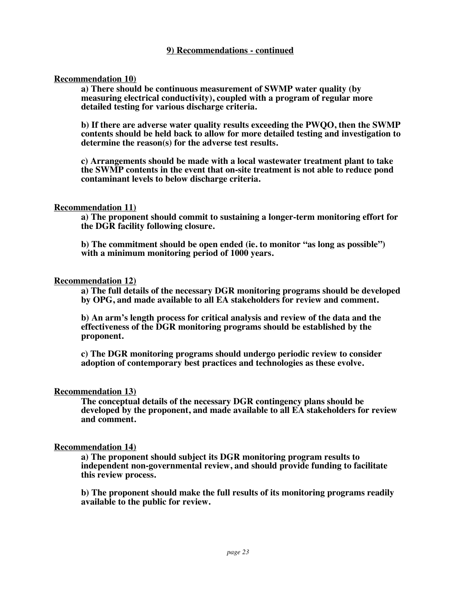#### **9) Recommendations - continued**

#### **Recommendation 10)**

**a) There should be continuous measurement of SWMP water quality (by measuring electrical conductivity), coupled with a program of regular more detailed testing for various discharge criteria.** 

**b) If there are adverse water quality results exceeding the PWQO, then the SWMP contents should be held back to allow for more detailed testing and investigation to determine the reason(s) for the adverse test results.** 

**c) Arrangements should be made with a local wastewater treatment plant to take the SWMP contents in the event that on-site treatment is not able to reduce pond contaminant levels to below discharge criteria.**

#### **Recommendation 11)**

**a) The proponent should commit to sustaining a longer-term monitoring effort for the DGR facility following closure.** 

**b) The commitment should be open ended (ie. to monitor "as long as possible") with a minimum monitoring period of 1000 years.**

#### **Recommendation 12)**

**a) The full details of the necessary DGR monitoring programs should be developed by OPG, and made available to all EA stakeholders for review and comment.** 

**b) An arm's length process for critical analysis and review of the data and the effectiveness of the DGR monitoring programs should be established by the proponent.**

**c) The DGR monitoring programs should undergo periodic review to consider adoption of contemporary best practices and technologies as these evolve.**

#### **Recommendation 13)**

**The conceptual details of the necessary DGR contingency plans should be developed by the proponent, and made available to all EA stakeholders for review and comment.**

#### **Recommendation 14)**

**a) The proponent should subject its DGR monitoring program results to independent non-governmental review, and should provide funding to facilitate this review process.**

**b) The proponent should make the full results of its monitoring programs readily available to the public for review.**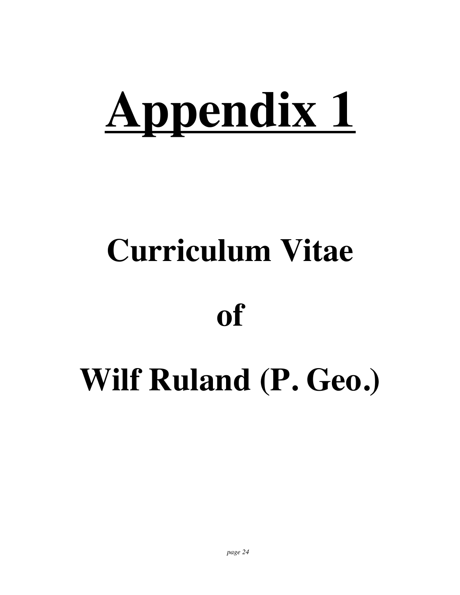# **Appendix 1**

# **Curriculum Vitae**

## **of**

# **Wilf Ruland (P. Geo.)**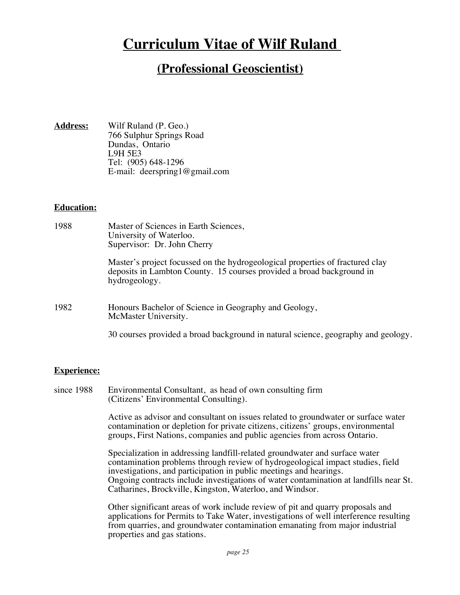### **Curriculum Vitae of Wilf Ruland**

#### **(Professional Geoscientist)**

**Address:** Wilf Ruland (P. Geo.) 766 Sulphur Springs Road Dundas, Ontario L9H 5E3 Tel: (905) 648-1296 E-mail: deerspring1@gmail.com

#### **Education:**

| 1988 | Master of Sciences in Earth Sciences,<br>University of Waterloo.<br>Supervisor: Dr. John Cherry                                                                         |
|------|-------------------------------------------------------------------------------------------------------------------------------------------------------------------------|
|      | Master's project focussed on the hydrogeological properties of fractured clay<br>deposits in Lambton County. 15 courses provided a broad background in<br>hydrogeology. |
| 1982 | Honours Bachelor of Science in Geography and Geology,<br>McMaster University.                                                                                           |
|      | 30 courses provided a broad background in natural science, geography and geology.                                                                                       |

#### **Experience:**

since 1988 Environmental Consultant, as head of own consulting firm (Citizens' Environmental Consulting).

> Active as advisor and consultant on issues related to groundwater or surface water contamination or depletion for private citizens, citizens' groups, environmental groups, First Nations, companies and public agencies from across Ontario.

Specialization in addressing landfill-related groundwater and surface water contamination problems through review of hydrogeological impact studies, field investigations, and participation in public meetings and hearings. Ongoing contracts include investigations of water contamination at landfills near St. Catharines, Brockville, Kingston, Waterloo, and Windsor.

Other significant areas of work include review of pit and quarry proposals and applications for Permits to Take Water, investigations of well interference resulting from quarries, and groundwater contamination emanating from major industrial properties and gas stations.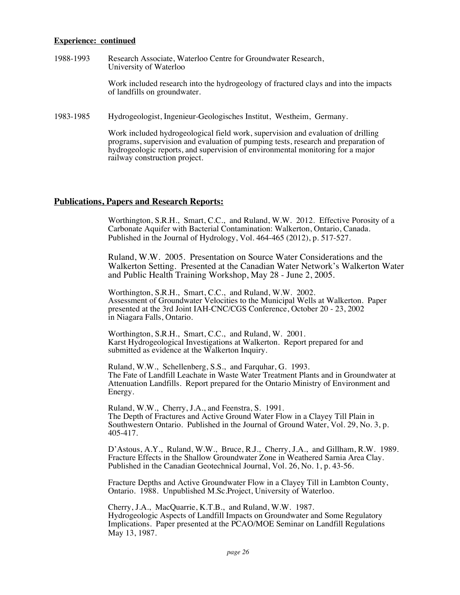#### **Experience: continued**

1988-1993 Research Associate, Waterloo Centre for Groundwater Research, University of Waterloo

> Work included research into the hydrogeology of fractured clays and into the impacts of landfills on groundwater.

1983-1985 Hydrogeologist, Ingenieur-Geologisches Institut, Westheim, Germany.

Work included hydrogeological field work, supervision and evaluation of drilling programs, supervision and evaluation of pumping tests, research and preparation of hydrogeologic reports, and supervision of environmental monitoring for a major railway construction project.

#### **Publications, Papers and Research Reports:**

Worthington, S.R.H., Smart, C.C., and Ruland, W.W. 2012. Effective Porosity of a Carbonate Aquifer with Bacterial Contamination: Walkerton, Ontario, Canada. Published in the Journal of Hydrology, Vol. 464-465 (2012), p. 517-527.

Ruland, W.W. 2005. Presentation on Source Water Considerations and the Walkerton Setting. Presented at the Canadian Water Network's Walkerton Water and Public Health Training Workshop, May 28 - June 2, 2005.

Worthington, S.R.H., Smart, C.C., and Ruland, W.W. 2002. Assessment of Groundwater Velocities to the Municipal Wells at Walkerton. Paper presented at the 3rd Joint IAH-CNC/CGS Conference, October 20 - 23, 2002 in Niagara Falls, Ontario.

Worthington, S.R.H., Smart, C.C., and Ruland, W. 2001. Karst Hydrogeological Investigations at Walkerton. Report prepared for and submitted as evidence at the Walkerton Inquiry.

Ruland, W.W., Schellenberg, S.S., and Farquhar, G. 1993. The Fate of Landfill Leachate in Waste Water Treatment Plants and in Groundwater at Attenuation Landfills. Report prepared for the Ontario Ministry of Environment and Energy.

Ruland, W.W., Cherry, J.A., and Feenstra, S. 1991. The Depth of Fractures and Active Ground Water Flow in a Clayey Till Plain in Southwestern Ontario. Published in the Journal of Ground Water, Vol. 29, No. 3, p. 405-417.

D'Astous, A.Y., Ruland, W.W., Bruce, R.J., Cherry, J.A., and Gillham, R.W. 1989. Fracture Effects in the Shallow Groundwater Zone in Weathered Sarnia Area Clay. Published in the Canadian Geotechnical Journal, Vol. 26, No. 1, p. 43-56.

Fracture Depths and Active Groundwater Flow in a Clayey Till in Lambton County, Ontario. 1988. Unpublished M.Sc.Project, University of Waterloo.

Cherry, J.A., MacQuarrie, K.T.B., and Ruland, W.W. 1987. Hydrogeologic Aspects of Landfill Impacts on Groundwater and Some Regulatory Implications. Paper presented at the PCAO/MOE Seminar on Landfill Regulations May 13, 1987.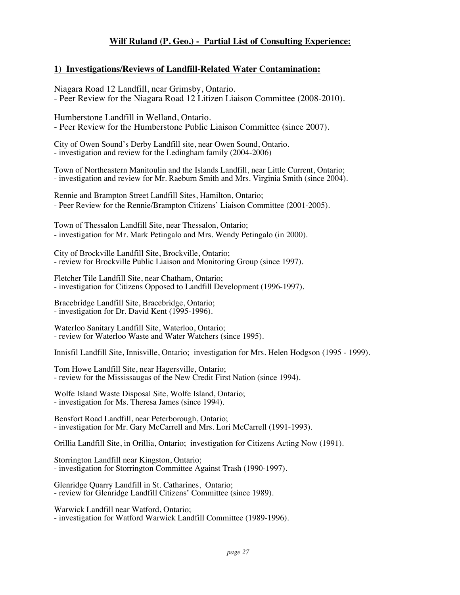#### **Wilf Ruland (P. Geo.) - Partial List of Consulting Experience:**

#### **1) Investigations/Reviews of Landfill-Related Water Contamination:**

Niagara Road 12 Landfill, near Grimsby, Ontario. - Peer Review for the Niagara Road 12 Litizen Liaison Committee (2008-2010).

Humberstone Landfill in Welland, Ontario. - Peer Review for the Humberstone Public Liaison Committee (since 2007).

City of Owen Sound's Derby Landfill site, near Owen Sound, Ontario. - investigation and review for the Ledingham family (2004-2006)

Town of Northeastern Manitoulin and the Islands Landfill, near Little Current, Ontario; - investigation and review for Mr. Raeburn Smith and Mrs. Virginia Smith (since 2004).

Rennie and Brampton Street Landfill Sites, Hamilton, Ontario; - Peer Review for the Rennie/Brampton Citizens' Liaison Committee (2001-2005).

Town of Thessalon Landfill Site, near Thessalon, Ontario; - investigation for Mr. Mark Petingalo and Mrs. Wendy Petingalo (in 2000).

City of Brockville Landfill Site, Brockville, Ontario; - review for Brockville Public Liaison and Monitoring Group (since 1997).

Fletcher Tile Landfill Site, near Chatham, Ontario; - investigation for Citizens Opposed to Landfill Development (1996-1997).

Bracebridge Landfill Site, Bracebridge, Ontario; - investigation for Dr. David Kent (1995-1996).

Waterloo Sanitary Landfill Site, Waterloo, Ontario; - review for Waterloo Waste and Water Watchers (since 1995).

Innisfil Landfill Site, Innisville, Ontario; investigation for Mrs. Helen Hodgson (1995 - 1999).

Tom Howe Landfill Site, near Hagersville, Ontario; - review for the Mississaugas of the New Credit First Nation (since 1994).

Wolfe Island Waste Disposal Site, Wolfe Island, Ontario; - investigation for Ms. Theresa James (since 1994).

Bensfort Road Landfill, near Peterborough, Ontario; - investigation for Mr. Gary McCarrell and Mrs. Lori McCarrell (1991-1993).

Orillia Landfill Site, in Orillia, Ontario; investigation for Citizens Acting Now (1991).

Storrington Landfill near Kingston, Ontario; - investigation for Storrington Committee Against Trash (1990-1997).

Glenridge Quarry Landfill in St. Catharines, Ontario; - review for Glenridge Landfill Citizens' Committee (since 1989).

Warwick Landfill near Watford, Ontario; - investigation for Watford Warwick Landfill Committee (1989-1996).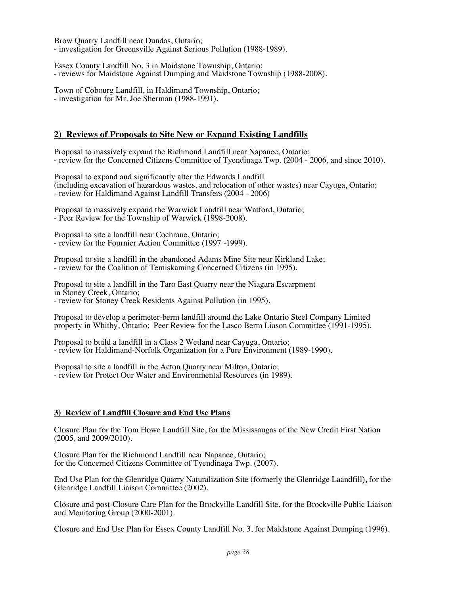Brow Quarry Landfill near Dundas, Ontario; - investigation for Greensville Against Serious Pollution (1988-1989).

Essex County Landfill No. 3 in Maidstone Township, Ontario; - reviews for Maidstone Against Dumping and Maidstone Township (1988-2008).

Town of Cobourg Landfill, in Haldimand Township, Ontario; - investigation for Mr. Joe Sherman (1988-1991).

#### **2) Reviews of Proposals to Site New or Expand Existing Landfills**

Proposal to massively expand the Richmond Landfill near Napanee, Ontario; - review for the Concerned Citizens Committee of Tyendinaga Twp. (2004 - 2006, and since 2010).

Proposal to expand and significantly alter the Edwards Landfill (including excavation of hazardous wastes, and relocation of other wastes) near Cayuga, Ontario; - review for Haldimand Against Landfill Transfers (2004 - 2006)

Proposal to massively expand the Warwick Landfill near Watford, Ontario; - Peer Review for the Township of Warwick (1998-2008).

Proposal to site a landfill near Cochrane, Ontario; - review for the Fournier Action Committee (1997 -1999).

Proposal to site a landfill in the abandoned Adams Mine Site near Kirkland Lake; - review for the Coalition of Temiskaming Concerned Citizens (in 1995).

Proposal to site a landfill in the Taro East Quarry near the Niagara Escarpment in Stoney Creek, Ontario; - review for Stoney Creek Residents Against Pollution (in 1995).

Proposal to develop a perimeter-berm landfill around the Lake Ontario Steel Company Limited property in Whitby, Ontario; Peer Review for the Lasco Berm Liason Committee (1991-1995).

Proposal to build a landfill in a Class 2 Wetland near Cayuga, Ontario; - review for Haldimand-Norfolk Organization for a Pure Environment (1989-1990).

Proposal to site a landfill in the Acton Quarry near Milton, Ontario; - review for Protect Our Water and Environmental Resources (in 1989).

#### **3) Review of Landfill Closure and End Use Plans**

Closure Plan for the Tom Howe Landfill Site, for the Mississaugas of the New Credit First Nation (2005, and 2009/2010).

Closure Plan for the Richmond Landfill near Napanee, Ontario; for the Concerned Citizens Committee of Tyendinaga Twp. (2007).

End Use Plan for the Glenridge Quarry Naturalization Site (formerly the Glenridge Laandfill), for the Glenridge Landfill Liaison Committee (2002).

Closure and post-Closure Care Plan for the Brockville Landfill Site, for the Brockville Public Liaison and Monitoring Group (2000-2001).

Closure and End Use Plan for Essex County Landfill No. 3, for Maidstone Against Dumping (1996).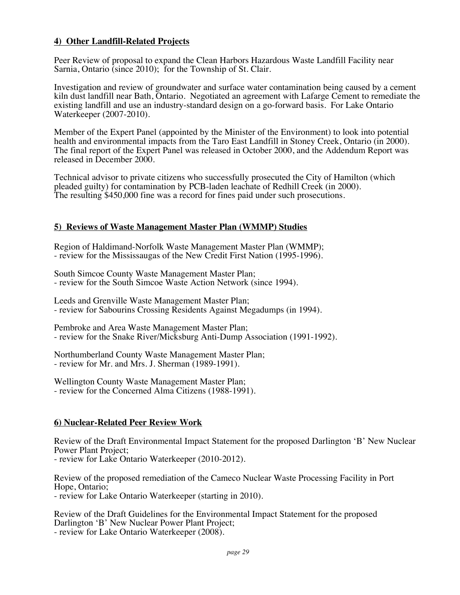#### **4) Other Landfill-Related Projects**

Peer Review of proposal to expand the Clean Harbors Hazardous Waste Landfill Facility near Sarnia, Ontario (since 2010); for the Township of St. Clair.

Investigation and review of groundwater and surface water contamination being caused by a cement kiln dust landfill near Bath, Ontario. Negotiated an agreement with Lafarge Cement to remediate the existing landfill and use an industry-standard design on a go-forward basis. For Lake Ontario Waterkeeper (2007-2010).

Member of the Expert Panel (appointed by the Minister of the Environment) to look into potential health and environmental impacts from the Taro East Landfill in Stoney Creek, Ontario (in 2000). The final report of the Expert Panel was released in October 2000, and the Addendum Report was released in December 2000.

Technical advisor to private citizens who successfully prosecuted the City of Hamilton (which pleaded guilty) for contamination by PCB-laden leachate of Redhill Creek (in 2000). The resulting \$450,000 fine was a record for fines paid under such prosecutions.

#### **5) Reviews of Waste Management Master Plan (WMMP) Studies**

Region of Haldimand-Norfolk Waste Management Master Plan (WMMP); - review for the Mississaugas of the New Credit First Nation (1995-1996).

South Simcoe County Waste Management Master Plan; - review for the South Simcoe Waste Action Network (since 1994).

Leeds and Grenville Waste Management Master Plan; - review for Sabourins Crossing Residents Against Megadumps (in 1994).

Pembroke and Area Waste Management Master Plan; - review for the Snake River/Micksburg Anti-Dump Association (1991-1992).

Northumberland County Waste Management Master Plan; - review for Mr. and Mrs. J. Sherman (1989-1991).

Wellington County Waste Management Master Plan; - review for the Concerned Alma Citizens (1988-1991).

#### **6) Nuclear-Related Peer Review Work**

Review of the Draft Environmental Impact Statement for the proposed Darlington 'B' New Nuclear

- review for Lake Ontario Waterkeeper (2010-2012).

Review of the proposed remediation of the Cameco Nuclear Waste Processing Facility in Port

- review for Lake Ontario Waterkeeper (starting in 2010).

Review of the Draft Guidelines for the Environmental Impact Statement for the proposed Darlington 'B' New Nuclear Power Plant Project;

- review for Lake Ontario Waterkeeper (2008).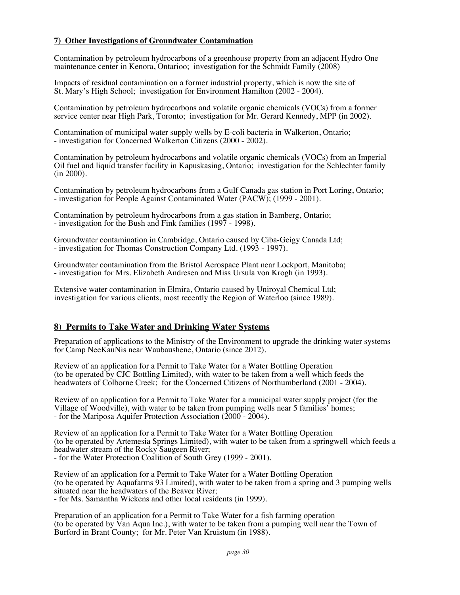#### **7) Other Investigations of Groundwater Contamination**

Contamination by petroleum hydrocarbons of a greenhouse property from an adjacent Hydro One maintenance center in Kenora, Ontarioo; investigation for the Schmidt Family (2008)

Impacts of residual contamination on a former industrial property, which is now the site of St. Mary's High School; investigation for Environment Hamilton (2002 - 2004).

Contamination by petroleum hydrocarbons and volatile organic chemicals (VOCs) from a former service center near High Park, Toronto; investigation for Mr. Gerard Kennedy, MPP (in 2002).

Contamination of municipal water supply wells by E-coli bacteria in Walkerton, Ontario; - investigation for Concerned Walkerton Citizens (2000 - 2002).

Contamination by petroleum hydrocarbons and volatile organic chemicals (VOCs) from an Imperial Oil fuel and liquid transfer facility in Kapuskasing, Ontario; investigation for the Schlechter family (in 2000).

Contamination by petroleum hydrocarbons from a Gulf Canada gas station in Port Loring, Ontario; - investigation for People Against Contaminated Water (PACW); (1999 - 2001).

Contamination by petroleum hydrocarbons from a gas station in Bamberg, Ontario; - investigation for the Bush and Fink families (1997 - 1998).

Groundwater contamination in Cambridge, Ontario caused by Ciba-Geigy Canada Ltd; - investigation for Thomas Construction Company Ltd. (1993 - 1997).

Groundwater contamination from the Bristol Aerospace Plant near Lockport, Manitoba; - investigation for Mrs. Elizabeth Andresen and Miss Ursula von Krogh (in 1993).

Extensive water contamination in Elmira, Ontario caused by Uniroyal Chemical Ltd; investigation for various clients, most recently the Region of Waterloo (since 1989).

#### **8) Permits to Take Water and Drinking Water Systems**

Preparation of applications to the Ministry of the Environment to upgrade the drinking water systems for Camp NeeKauNis near Waubaushene, Ontario (since 2012).

Review of an application for a Permit to Take Water for a Water Bottling Operation (to be operated by CJC Bottling Limited), with water to be taken from a well which feeds the headwaters of Colborne Creek; for the Concerned Citizens of Northumberland (2001 - 2004).

Review of an application for a Permit to Take Water for a municipal water supply project (for the Village of Woodville), with water to be taken from pumping wells near 5 families' homes; - for the Mariposa Aquifer Protection Association (2000 - 2004).

Review of an application for a Permit to Take Water for a Water Bottling Operation (to be operated by Artemesia Springs Limited), with water to be taken from a springwell which feeds a headwater stream of the Rocky Saugeen River; - for the Water Protection Coalition of South Grey (1999 - 2001).

Review of an application for a Permit to Take Water for a Water Bottling Operation (to be operated by Aquafarms 93 Limited), with water to be taken from a spring and 3 pumping wells situated near the headwaters of the Beaver River; - for Ms. Samantha Wickens and other local residents (in 1999).

Preparation of an application for a Permit to Take Water for a fish farming operation (to be operated by  $\hat{V}$ an Aqua Inc.), with water to be taken from a pumping well near the Town of Burford in Brant County; for Mr. Peter Van Kruistum (in 1988).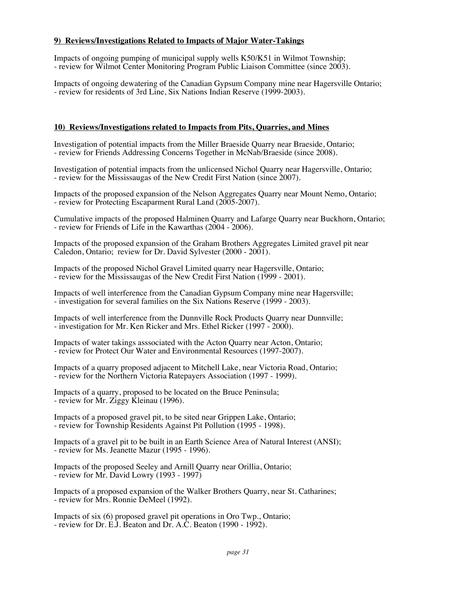#### **9) Reviews/Investigations Related to Impacts of Major Water-Takings**

Impacts of ongoing pumping of municipal supply wells K50/K51 in Wilmot Township; - review for Wilmot Center Monitoring Program Public Liaison Committee (since 2003).

Impacts of ongoing dewatering of the Canadian Gypsum Company mine near Hagersville Ontario; - review for residents of 3rd Line, Six Nations Indian Reserve (1999-2003).

#### **10) Reviews/Investigations related to Impacts from Pits, Quarries, and Mines**

Investigation of potential impacts from the Miller Braeside Quarry near Braeside, Ontario; - review for Friends Addressing Concerns Together in McNab/Braeside (since 2008).

Investigation of potential impacts from the unlicensed Nichol Quarry near Hagersville, Ontario; - review for the Mississaugas of the New Credit First Nation (since 2007).

Impacts of the proposed expansion of the Nelson Aggregates Quarry near Mount Nemo, Ontario; - review for Protecting Escaparment Rural Land (2005-2007).

Cumulative impacts of the proposed Halminen Quarry and Lafarge Quarry near Buckhorn, Ontario; - review for Friends of Life in the Kawarthas (2004 - 2006).

Impacts of the proposed expansion of the Graham Brothers Aggregates Limited gravel pit near Caledon, Ontario; review for Dr. David Sylvester (2000 - 2001).

Impacts of the proposed Nichol Gravel Limited quarry near Hagersville, Ontario; - review for the Mississaugas of the New Credit First Nation (1999 - 2001).

Impacts of well interference from the Canadian Gypsum Company mine near Hagersville; - investigation for several families on the Six Nations Reserve (1999 - 2003).

Impacts of well interference from the Dunnville Rock Products Quarry near Dunnville; - investigation for Mr. Ken Ricker and Mrs. Ethel Ricker (1997 - 2000).

Impacts of water takings asssociated with the Acton Quarry near Acton, Ontario; - review for Protect Our Water and Environmental Resources (1997-2007).

Impacts of a quarry proposed adjacent to Mitchell Lake, near Victoria Road, Ontario; - review for the Northern Victoria Ratepayers Association (1997 - 1999).

Impacts of a quarry, proposed to be located on the Bruce Peninsula; - review for Mr. Ziggy Kleinau (1996).

Impacts of a proposed gravel pit, to be sited near Grippen Lake, Ontario; - review for Township Residents Against Pit Pollution (1995 - 1998).

Impacts of a gravel pit to be built in an Earth Science Area of Natural Interest (ANSI); - review for Ms. Jeanette Mazur (1995 - 1996).

Impacts of the proposed Seeley and Arnill Quarry near Orillia, Ontario; - review for Mr. David Lowry (1993 - 1997)

Impacts of a proposed expansion of the Walker Brothers Quarry, near St. Catharines; - review for Mrs. Ronnie DeMeel (1992).

Impacts of six (6) proposed gravel pit operations in Oro Twp., Ontario; - review for Dr. E.J. Beaton and Dr. A.C. Beaton (1990 - 1992).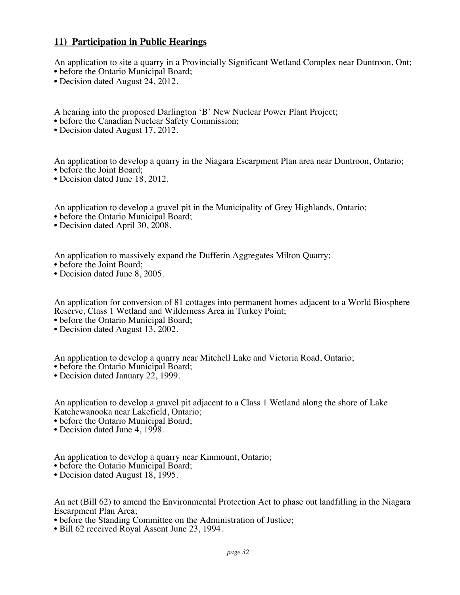#### **11) Participation in Public Hearings**

An application to site a quarry in a Provincially Significant Wetland Complex near Duntroon, Ont; • before the Ontario Municipal Board;

• Decision dated August 24, 2012.

A hearing into the proposed Darlington 'B' New Nuclear Power Plant Project;

• before the Canadian Nuclear Safety Commission;

• Decision dated August 17, 2012.

An application to develop a quarry in the Niagara Escarpment Plan area near Duntroon, Ontario; • before the Joint Board;

• Decision dated June 18, 2012.

An application to develop a gravel pit in the Municipality of Grey Highlands, Ontario;

- before the Ontario Municipal Board;
- Decision dated April 30, 2008.

An application to massively expand the Dufferin Aggregates Milton Quarry;

- before the Joint Board;
- Decision dated June 8, 2005.

An application for conversion of 81 cottages into permanent homes adjacent to a World Biosphere Reserve, Class 1 Wetland and Wilderness Area in Turkey Point;

• before the Ontario Municipal Board;

• Decision dated August 13, 2002.

An application to develop a quarry near Mitchell Lake and Victoria Road, Ontario;

• before the Ontario Municipal Board;

• Decision dated January 22, 1999.

An application to develop a gravel pit adjacent to a Class 1 Wetland along the shore of Lake Katchewanooka near Lakefield, Ontario;

- before the Ontario Municipal Board;
- Decision dated June 4, 1998.

An application to develop a quarry near Kinmount, Ontario;

- before the Ontario Municipal Board;
- Decision dated August 18, 1995.

An act (Bill 62) to amend the Environmental Protection Act to phase out landfilling in the Niagara Escarpment Plan Area;

- before the Standing Committee on the Administration of Justice;
- Bill 62 received Royal Assent June 23, 1994.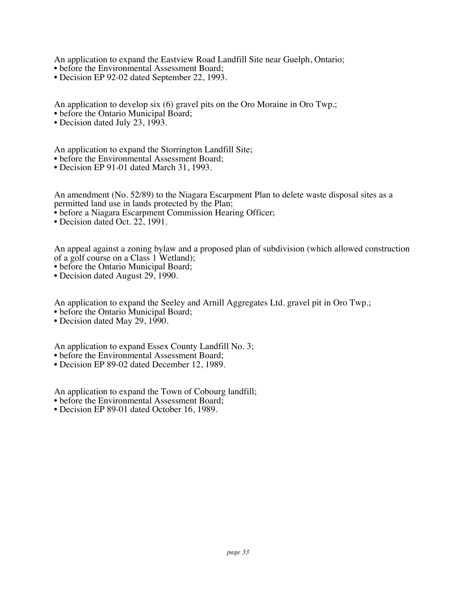An application to expand the Eastview Road Landfill Site near Guelph, Ontario;

- before the Environmental Assessment Board;
- Decision EP 92-02 dated September 22, 1993.

An application to develop six (6) gravel pits on the Oro Moraine in Oro Twp.;

- before the Ontario Municipal Board;
- Decision dated July 23, 1993.

An application to expand the Storrington Landfill Site;

- before the Environmental Assessment Board;
- Decision EP 91-01 dated March 31, 1993.

An amendment (No. 52/89) to the Niagara Escarpment Plan to delete waste disposal sites as a permitted land use in lands protected by the Plan;

- before a Niagara Escarpment Commission Hearing Officer;
- Decision dated Oct. 22, 1991.

An appeal against a zoning bylaw and a proposed plan of subdivision (which allowed construction of a golf course on a Class 1 Wetland);

- before the Ontario Municipal Board;
- Decision dated August 29, 1990.

An application to expand the Seeley and Arnill Aggregates Ltd. gravel pit in Oro Twp.;

- before the Ontario Municipal Board;
- Decision dated May 29, 1990.

An application to expand Essex County Landfill No. 3;

- before the Environmental Assessment Board;
- Decision EP 89-02 dated December 12, 1989.

An application to expand the Town of Cobourg landfill;

- before the Environmental Assessment Board;
- Decision EP 89-01 dated October 16, 1989.